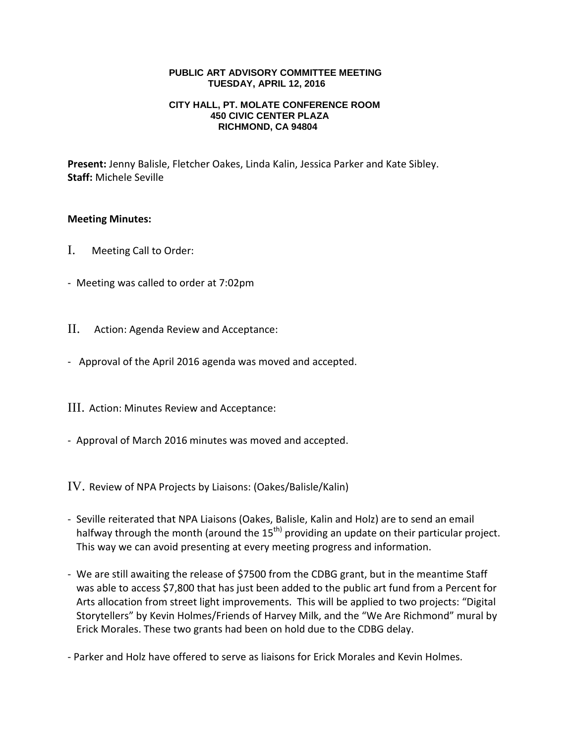## **PUBLIC ART ADVISORY COMMITTEE MEETING TUESDAY, APRIL 12, 2016**

## **CITY HALL, PT. MOLATE CONFERENCE ROOM 450 CIVIC CENTER PLAZA RICHMOND, CA 94804**

**Present:** Jenny Balisle, Fletcher Oakes, Linda Kalin, Jessica Parker and Kate Sibley. **Staff:** Michele Seville

## **Meeting Minutes:**

- I. Meeting Call to Order:
- Meeting was called to order at 7:02pm
- II. Action: Agenda Review and Acceptance:
- Approval of the April 2016 agenda was moved and accepted.
- III. Action: Minutes Review and Acceptance:
- Approval of March 2016 minutes was moved and accepted.

IV. Review of NPA Projects by Liaisons: (Oakes/Balisle/Kalin)

- Seville reiterated that NPA Liaisons (Oakes, Balisle, Kalin and Holz) are to send an email halfway through the month (around the  $15<sup>th</sup>$  providing an update on their particular project. This way we can avoid presenting at every meeting progress and information.
- We are still awaiting the release of \$7500 from the CDBG grant, but in the meantime Staff was able to access \$7,800 that has just been added to the public art fund from a Percent for Arts allocation from street light improvements. This will be applied to two projects: "Digital Storytellers" by Kevin Holmes/Friends of Harvey Milk, and the "We Are Richmond" mural by Erick Morales. These two grants had been on hold due to the CDBG delay.
- Parker and Holz have offered to serve as liaisons for Erick Morales and Kevin Holmes.